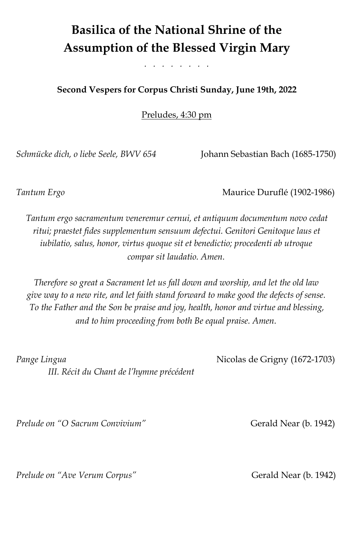# **Basilica of the National Shrine of the Assumption of the Blessed Virgin Mary**

*. . . . . . . .* 

### **Second Vespers for Corpus Christi Sunday, June 19th, 2022**

Preludes, 4:30 pm

*Schmücke dich, o liebe Seele, BWV 654* Johann Sebastian Bach (1685-1750)

*Tantum Ergo* Maurice Duruflé (1902-1986)

*Tantum ergo sacramentum veneremur cernui, et antiquum documentum novo cedat ritui; praestet fides supplementum sensuum defectui. Genitori Genitoque laus et iubilatio, salus, honor, virtus quoque sit et benedictio; procedenti ab utroque compar sit laudatio. Amen.*

*Therefore so great a Sacrament let us fall down and worship, and let the old law give way to a new rite, and let faith stand forward to make good the defects of sense. To the Father and the Son be praise and joy, health, honor and virtue and blessing, and to him proceeding from both Be equal praise. Amen.*

*Pange Lingua* Nicolas de Grigny (1672-1703)  *III. Récit du Chant de l'hymne précédent* 

*Prelude on "O Sacrum Convivium"* **Gerald Near (b. 1942)** 

*Prelude on "Ave Verum Corpus"* Gerald Near (b. 1942)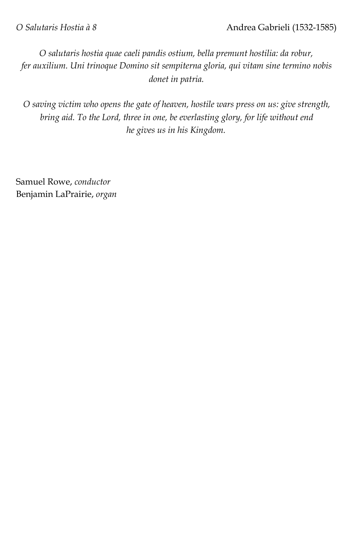*O salutaris hostia quae caeli pandis ostium, bella premunt hostilia: da robur, fer auxilium. Uni trinoque Domino sit sempiterna gloria, qui vitam sine termino nobis donet in patria.*

*O saving victim who opens the gate of heaven, hostile wars press on us: give strength, bring aid. To the Lord, three in one, be everlasting glory, for life without end he gives us in his Kingdom.*

Samuel Rowe, *conductor*  Benjamin LaPrairie, *organ*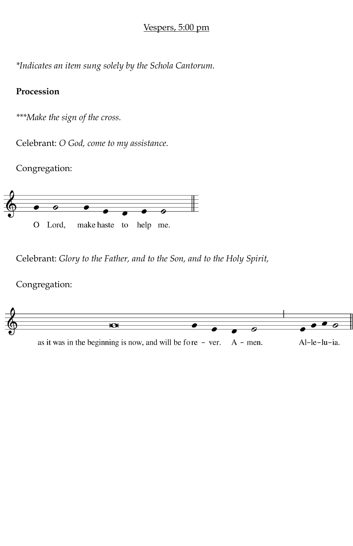### Vespers, 5:00 pm

*\*Indicates an item sung solely by the Schola Cantorum.* 

# **Procession**

*\*\*\*Make the sign of the cross.* 

Celebrant: *O God, come to my assistance.* 

Congregation:



Celebrant: *Glory to the Father, and to the Son, and to the Holy Spirit,*

Congregation:

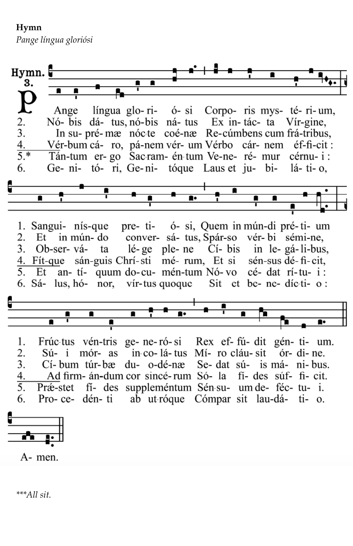**Hymn** 

*Pange língua gloriósi* 

 $Hymn.$ 3. língua glo-ri- ó-si Corpo-ris mys-té-ri-um, Ange 2. Nó- bis dá- tus nó-bis ná- tus Ex in-tác- ta Vír-gine, 3. In su- pré-mæ nóc-te coé-næ Re-cúmbens cum frá-tribus, Vér-bum cá- ro, pá-nem vér- um Vérbo cár- nem éf-fi-cit : 4.  $\overline{5.^*}$ Tán-tum er-go Sac-ram- én-tum Ve-ne- ré- mur cérnu-i: Ge- ni- tó- ri, Ge-ni- tóque Laus et ju- bi-6.  $14$ - ti- $\alpha$ . 1. Sangui- nís-que pre- ti- ó- si, Quem in mún-di pré-ti- um 2. Et in mún-do conver- sá- tus, Spár-so vér-bi sémi-ne, 3. Ob-ser-válé-ge ple-ne Cí-bis in le-gá-li-bus, ta 4. Fít-que sán-guis Chrí-sti mé- rum, Et si sén-sus dé-fi-cit, 5. Et an- tí- quum do-cu- mén-tum Nó-vo cé- dat rí-tu- i : 6. Sá- lus, hó- nor, vír-tus quoque Sit et be- ne- díc-ti- o : 1. Frúctus vén-tris ge-ne-ró-si Rex ef-fú-dit gén-ti- um. 2. Sú- i mór- as in-co-lá-tus Mí- ro cláu-sit ór- di- ne. du- o-dé-næ 3. Se- dat sú- is má- ni-bus. Cí-bum túr-bæ Ad firm- án-dum cor sincé-rum Só-la fi- des súf- fi- cit. 4. Præ-stet fi- des suppleméntum Sén-su- um de- féc- tu- i. 5. 6. Pro-ce- dén-ti ab ut-róque Cómpar sit lau-dá- ti- o. A- men.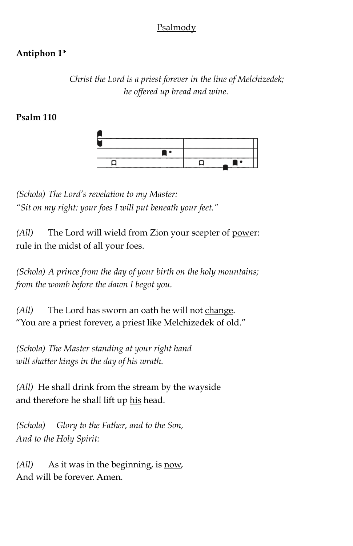# Psalmody

# **Antiphon 1\***

*Christ the Lord is a priest forever in the line of Melchizedek; he offered up bread and wine.* 

### **Psalm 110**



*(Schola) The Lord's revelation to my Master: "Sit on my right: your foes I will put beneath your feet."* 

*(All)* The Lord will wield from Zion your scepter of power: rule in the midst of all your foes.

*(Schola) A prince from the day of your birth on the holy mountains; from the womb before the dawn I begot you.* 

*(All)* The Lord has sworn an oath he will not change. "You are a priest forever, a priest like Melchizedek of old."

*(Schola) The Master standing at your right hand will shatter kings in the day of his wrath.* 

*(All)* He shall drink from the stream by the wayside and therefore he shall lift up his head.

*(Schola) Glory to the Father, and to the Son, And to the Holy Spirit:* 

*(All)* As it was in the beginning, is now, And will be forever. Amen.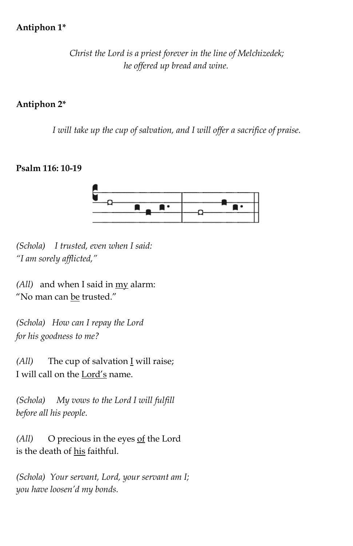### **Antiphon 1\***

*Christ the Lord is a priest forever in the line of Melchizedek; he offered up bread and wine.* 

### **Antiphon 2\***

*I will take up the cup of salvation, and I will offer a sacrifice of praise.* 

### **Psalm 116: 10-19**



*(Schola) I trusted, even when I said: "I am sorely afflicted,"* 

*(All)* and when I said in my alarm: "No man can be trusted."

*(Schola) How can I repay the Lord for his goodness to me?* 

*(All)* The cup of salvation I will raise; I will call on the Lord's name.

*(Schola) My vows to the Lord I will fulfill before all his people.* 

*(All)* O precious in the eyes of the Lord is the death of his faithful.

*(Schola) Your servant, Lord, your servant am I; you have loosen'd my bonds.*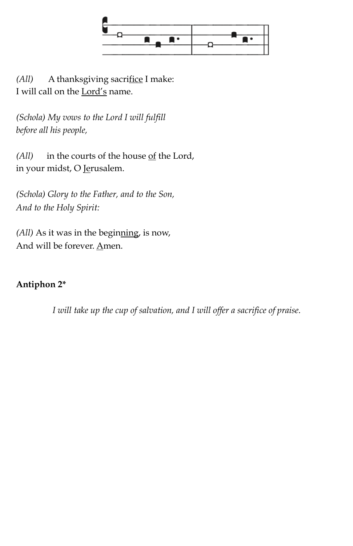

*(All)* A thanksgiving sacrifice I make: I will call on the Lord's name.

*(Schola) My vows to the Lord I will fulfill before all his people,* 

*(All)* in the courts of the house <u>of</u> the Lord, in your midst, O Jerusalem.

*(Schola) Glory to the Father, and to the Son, And to the Holy Spirit:* 

*(All)* As it was in the beginning, is now, And will be forever. Amen.

# **Antiphon 2\***

*I will take up the cup of salvation, and I will offer a sacrifice of praise.*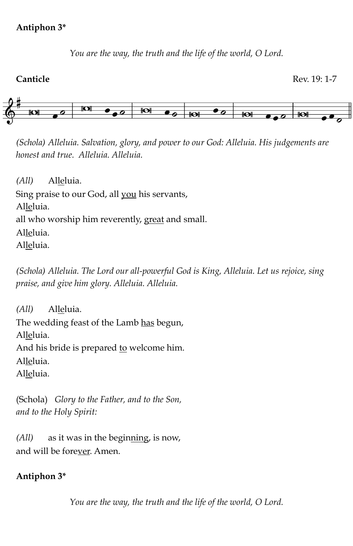### **Antiphon 3\***

*You are the way, the truth and the life of the world, O Lord.*



*(Schola) Alleluia. Salvation, glory, and power to our God: Alleluia. His judgements are honest and true. Alleluia. Alleluia.* 

*(All)* Alleluia.

Sing praise to our God, all you his servants,

Alleluia.

all who worship him reverently, great and small.

Alleluia.

Alleluia.

*(Schola) Alleluia. The Lord our all-powerful God is King, Alleluia. Let us rejoice, sing praise, and give him glory. Alleluia. Alleluia.* 

*(All)* Alleluia. The wedding feast of the Lamb has begun, Alleluia. And his bride is prepared to welcome him. Alleluia. Alleluia.

(Schola) *Glory to the Father, and to the Son, and to the Holy Spirit:* 

*(All)* as it was in the beginning, is now, and will be forever. Amen.

# **Antiphon 3\***

*You are the way, the truth and the life of the world, O Lord.*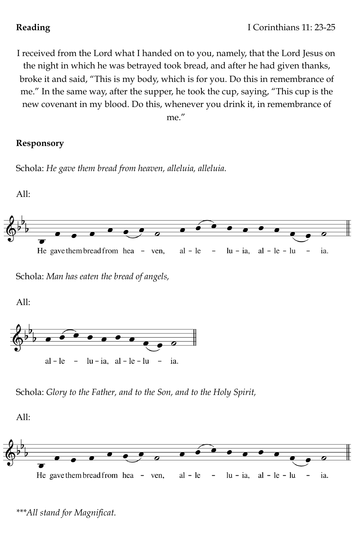I received from the Lord what I handed on to you, namely, that the Lord Jesus on the night in which he was betrayed took bread, and after he had given thanks, broke it and said, "This is my body, which is for you. Do this in remembrance of me." In the same way, after the supper, he took the cup, saying, "This cup is the new covenant in my blood. Do this, whenever you drink it, in remembrance of me."

# **Responsory**

Schola: *He gave them bread from heaven, alleluia, alleluia.*



Schola: *Man has eaten the bread of angels,* 

All:



Schola: *Glory to the Father, and to the Son, and to the Holy Spirit,* 

All:



*\*\*\*All stand for Magnificat.*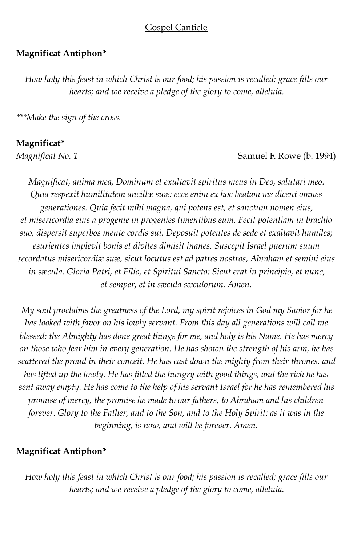### Gospel Canticle

### **Magnificat Antiphon\***

*How holy this feast in which Christ is our food; his passion is recalled; grace fills our hearts; and we receive a pledge of the glory to come, alleluia.* 

*\*\*\*Make the sign of the cross.* 

### **Magnificat\***

*Magnificat No. 1* Samuel F. Rowe (b. 1994)

*Magnificat, anima mea, Dominum et exultavit spiritus meus in Deo, salutari meo. Quia respexit humilitatem ancillæ suæ: ecce enim ex hoc beatam me dicent omnes generationes. Quia fecit mihi magna, qui potens est, et sanctum nomen eius, et misericordia eius a progenie in progenies timentibus eum. Fecit potentiam in brachio suo, dispersit superbos mente cordis sui. Deposuit potentes de sede et exaltavit humiles; esurientes implevit bonis et divites dimisit inanes. Suscepit Israel puerum suum recordatus misericordiæ suæ, sicut locutus est ad patres nostros, Abraham et semini eius in sæcula. Gloria Patri, et Filio, et Spiritui Sancto: Sicut erat in principio, et nunc, et semper, et in sæcula sæculorum. Amen.* 

*My soul proclaims the greatness of the Lord, my spirit rejoices in God my Savior for he has looked with favor on his lowly servant. From this day all generations will call me blessed: the Almighty has done great things for me, and holy is his Name. He has mercy on those who fear him in every generation. He has shown the strength of his arm, he has scattered the proud in their conceit. He has cast down the mighty from their thrones, and has lifted up the lowly. He has filled the hungry with good things, and the rich he has sent away empty. He has come to the help of his servant Israel for he has remembered his promise of mercy, the promise he made to our fathers, to Abraham and his children forever. Glory to the Father, and to the Son, and to the Holy Spirit: as it was in the beginning, is now, and will be forever. Amen.* 

### **Magnificat Antiphon\***

*How holy this feast in which Christ is our food; his passion is recalled; grace fills our hearts; and we receive a pledge of the glory to come, alleluia.*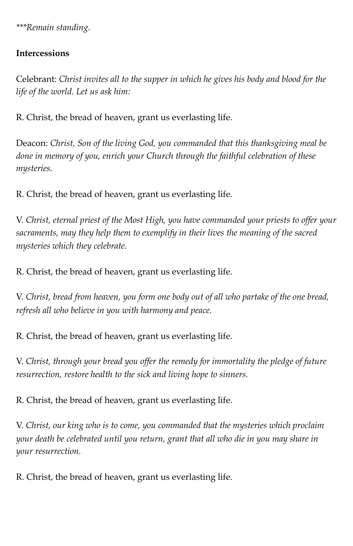*\*\*\*Remain standing.* 

# **Intercessions**

Celebrant: *Christ invites all to the supper in which he gives his body and blood for the life of the world. Let us ask him:* 

R. Christ, the bread of heaven, grant us everlasting life.

Deacon: *Christ, Son of the living God, you commanded that this thanksgiving meal be done in memory of you, enrich your Church through the faithful celebration of these mysteries.* 

R. Christ, the bread of heaven, grant us everlasting life.

V. *Christ, eternal priest of the Most High, you have commanded your priests to offer your sacraments, may they help them to exemplify in their lives the meaning of the sacred mysteries which they celebrate.*

R. Christ, the bread of heaven, grant us everlasting life.

V. *Christ, bread from heaven, you form one body out of all who partake of the one bread, refresh all who believe in you with harmony and peace.*

R. Christ, the bread of heaven, grant us everlasting life.

V. *Christ, through your bread you offer the remedy for immortality the pledge of future resurrection, restore health to the sick and living hope to sinners.* 

R. Christ, the bread of heaven, grant us everlasting life.

V. *Christ, our king who is to come, you commanded that the mysteries which proclaim your death be celebrated until you return, grant that all who die in you may share in your resurrection.*

R. Christ, the bread of heaven, grant us everlasting life.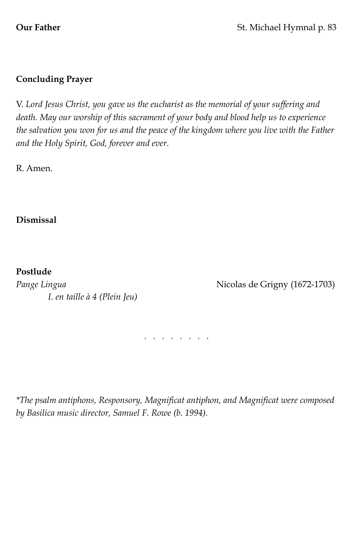# **Concluding Prayer**

V. *Lord Jesus Christ, you gave us the eucharist as the memorial of your suffering and death. May our worship of this sacrament of your body and blood help us to experience the salvation you won for us and the peace of the kingdom where you live with the Father and the Holy Spirit, God, forever and ever.* 

R. Amen.

# **Dismissal**

# **Postlude**

Pange Lingua *Pange Lingua* **Pange 2 Nicolas de Grigny (1672-1703)**  *I. en taille à 4 (Plein Jeu)* 

*. . . . . . . .* 

*\*The psalm antiphons, Responsory, Magnificat antiphon, and Magnificat were composed by Basilica music director, Samuel F. Rowe (b. 1994).*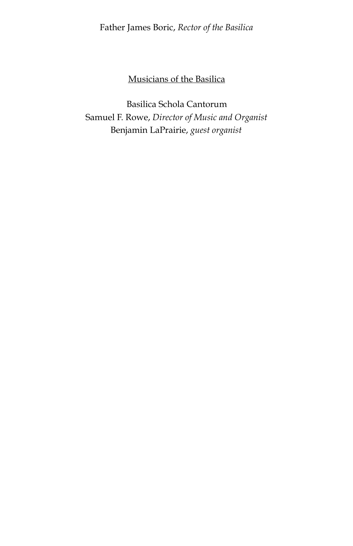Father James Boric, *Rector of the Basilica*

# Musicians of the Basilica

Basilica Schola Cantorum Samuel F. Rowe, *Director of Music and Organist*  Benjamin LaPrairie, *guest organist*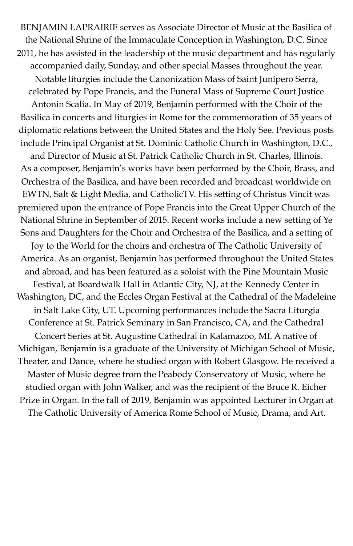BENJAMIN LAPRAIRIE serves as Associate Director of Music at the Basilica of the National Shrine of the Immaculate Conception in Washington, D.C. Since 2011, he has assisted in the leadership of the music department and has regularly accompanied daily, Sunday, and other special Masses throughout the year. Notable liturgies include the Canonization Mass of Saint Junípero Serra, celebrated by Pope Francis, and the Funeral Mass of Supreme Court Justice Antonin Scalia. In May of 2019, Benjamin performed with the Choir of the Basilica in concerts and liturgies in Rome for the commemoration of 35 years of diplomatic relations between the United States and the Holy See. Previous posts include Principal Organist at St. Dominic Catholic Church in Washington, D.C., and Director of Music at St. Patrick Catholic Church in St. Charles, Illinois. As a composer, Benjamin's works have been performed by the Choir, Brass, and Orchestra of the Basilica, and have been recorded and broadcast worldwide on EWTN, Salt & Light Media, and CatholicTV. His setting of Christus Vincit was premiered upon the entrance of Pope Francis into the Great Upper Church of the National Shrine in September of 2015. Recent works include a new setting of Ye Sons and Daughters for the Choir and Orchestra of the Basilica, and a setting of Joy to the World for the choirs and orchestra of The Catholic University of America. As an organist, Benjamin has performed throughout the United States and abroad, and has been featured as a soloist with the Pine Mountain Music Festival, at Boardwalk Hall in Atlantic City, NJ, at the Kennedy Center in Washington, DC, and the Eccles Organ Festival at the Cathedral of the Madeleine in Salt Lake City, UT. Upcoming performances include the Sacra Liturgia Conference at St. Patrick Seminary in San Francisco, CA, and the Cathedral Concert Series at St. Augustine Cathedral in Kalamazoo, MI. A native of Michigan, Benjamin is a graduate of the University of Michigan School of Music, Theater, and Dance, where he studied organ with Robert Glasgow. He received a Master of Music degree from the Peabody Conservatory of Music, where he studied organ with John Walker, and was the recipient of the Bruce R. Eicher Prize in Organ. In the fall of 2019, Benjamin was appointed Lecturer in Organ at The Catholic University of America Rome School of Music, Drama, and Art.